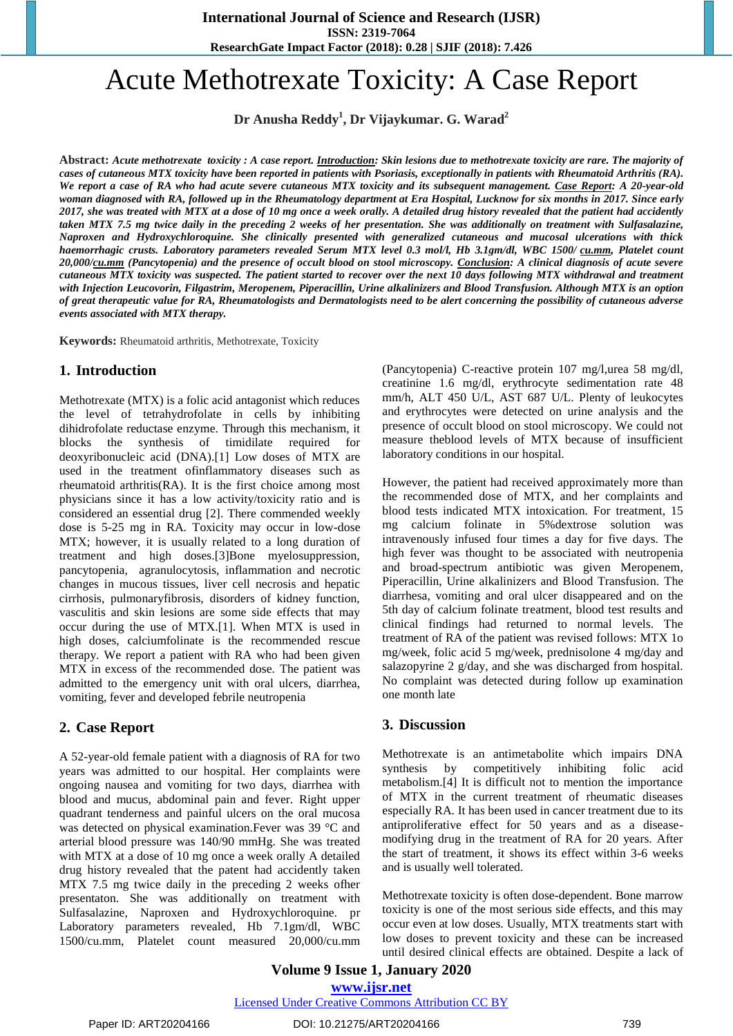**ResearchGate Impact Factor (2018): 0.28 | SJIF (2018): 7.426**

# Acute Methotrexate Toxicity: A Case Report

**Dr Anusha Reddy<sup>1</sup> , Dr Vijaykumar. G. Warad<sup>2</sup>**

**Abstract:** *Acute methotrexate toxicity : A case report. Introduction: Skin lesions due to methotrexate toxicity are rare. The majority of cases of cutaneous MTX toxicity have been reported in patients with Psoriasis, exceptionally in patients with Rheumatoid Arthritis (RA). We report a case of RA who had acute severe cutaneous MTX toxicity and its subsequent management. Case Report: A 20-year-old woman diagnosed with RA, followed up in the Rheumatology department at Era Hospital, Lucknow for six months in 2017. Since early 2017, she was treated with MTX at a dose of 10 mg once a week orally. A detailed drug history revealed that the patient had accidently taken MTX 7.5 mg twice daily in the preceding 2 weeks of her presentation. She was additionally on treatment with Sulfasalazine, Naproxen and Hydroxychloroquine. She clinically presented with generalized cutaneous and mucosal ulcerations with thick haemorrhagic crusts. Laboratory parameters revealed Serum MTX level 0.3 mol/l, Hb 3.1gm/dl, WBC 1500/ [cu.mm,](http://cu.mm/) Platelet count 20,000[/cu.mm](http://cu.mm/) (Pancytopenia) and the presence of occult blood on stool microscopy. Conclusion: A clinical diagnosis of acute severe cutaneous MTX toxicity was suspected. The patient started to recover over the next 10 days following MTX withdrawal and treatment with Injection Leucovorin, Filgastrim, Meropenem, Piperacillin, Urine alkalinizers and Blood Transfusion. Although MTX is an option of great therapeutic value for RA, Rheumatologists and Dermatologists need to be alert concerning the possibility of cutaneous adverse events associated with MTX therapy.*

**Keywords:** Rheumatoid arthritis, Methotrexate, Toxicity

#### **1. Introduction**

Methotrexate (MTX) is a folic acid antagonist which reduces the level of tetrahydrofolate in cells by inhibiting dihidrofolate reductase enzyme. Through this mechanism, it blocks the synthesis of timidilate required for deoxyribonucleic acid (DNA).[1] Low doses of MTX are used in the treatment ofinflammatory diseases such as rheumatoid arthritis(RA). It is the first choice among most physicians since it has a low activity/toxicity ratio and is considered an essential drug [2]. There commended weekly dose is 5-25 mg in RA. Toxicity may occur in low-dose MTX; however, it is usually related to a long duration of treatment and high doses.[3]Bone myelosuppression, pancytopenia, agranulocytosis, inflammation and necrotic changes in mucous tissues, liver cell necrosis and hepatic cirrhosis, pulmonaryfibrosis, disorders of kidney function, vasculitis and skin lesions are some side effects that may occur during the use of MTX.[1]. When MTX is used in high doses, calciumfolinate is the recommended rescue therapy. We report a patient with RA who had been given MTX in excess of the recommended dose. The patient was admitted to the emergency unit with oral ulcers, diarrhea, vomiting, fever and developed febrile neutropenia

## **2. Case Report**

A 52-year-old female patient with a diagnosis of RA for two years was admitted to our hospital. Her complaints were ongoing nausea and vomiting for two days, diarrhea with blood and mucus, abdominal pain and fever. Right upper quadrant tenderness and painful ulcers on the oral mucosa was detected on physical examination.Fever was 39 °C and arterial blood pressure was 140/90 mmHg. She was treated with MTX at a dose of 10 mg once a week orally A detailed drug history revealed that the patent had accidently taken MTX 7.5 mg twice daily in the preceding 2 weeks ofher presentaton. She was additionally on treatment with Sulfasalazine, Naproxen and Hydroxychloroquine. pr Laboratory parameters revealed, Hb 7.1gm/dl, WBC 1500/cu.mm, Platelet count measured 20,000/cu.mm (Pancytopenia) C-reactive protein 107 mg/l,urea 58 mg/dl, creatinine 1.6 mg/dl, erythrocyte sedimentation rate 48 mm/h, ALT 450 U/L, AST 687 U/L. Plenty of leukocytes and erythrocytes were detected on urine analysis and the presence of occult blood on stool microscopy. We could not measure theblood levels of MTX because of insufficient laboratory conditions in our hospital.

However, the patient had received approximately more than the recommended dose of MTX, and her complaints and blood tests indicated MTX intoxication. For treatment, 15 mg calcium folinate in 5%dextrose solution was intravenously infused four times a day for five days. The high fever was thought to be associated with neutropenia and broad-spectrum antibiotic was given Meropenem, Piperacillin, Urine alkalinizers and Blood Transfusion. The diarrhesa, vomiting and oral ulcer disappeared and on the 5th day of calcium folinate treatment, blood test results and clinical findings had returned to normal levels. The treatment of RA of the patient was revised follows: MTX 1o mg/week, folic acid 5 mg/week, prednisolone 4 mg/day and salazopyrine 2 g/day, and she was discharged from hospital. No complaint was detected during follow up examination one month late

#### **3. Discussion**

Methotrexate is an antimetabolite which impairs DNA synthesis by competitively inhibiting folic acid metabolism.[4] It is difficult not to mention the importance of MTX in the current treatment of rheumatic diseases especially RA. It has been used in cancer treatment due to its antiproliferative effect for 50 years and as a diseasemodifying drug in the treatment of RA for 20 years. After the start of treatment, it shows its effect within 3-6 weeks and is usually well tolerated.

Methotrexate toxicity is often dose-dependent. Bone marrow toxicity is one of the most serious side effects, and this may occur even at low doses. Usually, MTX treatments start with low doses to prevent toxicity and these can be increased until desired clinical effects are obtained. Despite a lack of

**Volume 9 Issue 1, January 2020 www.ijsr.net** Licensed Under Creative Commons Attribution CC BY